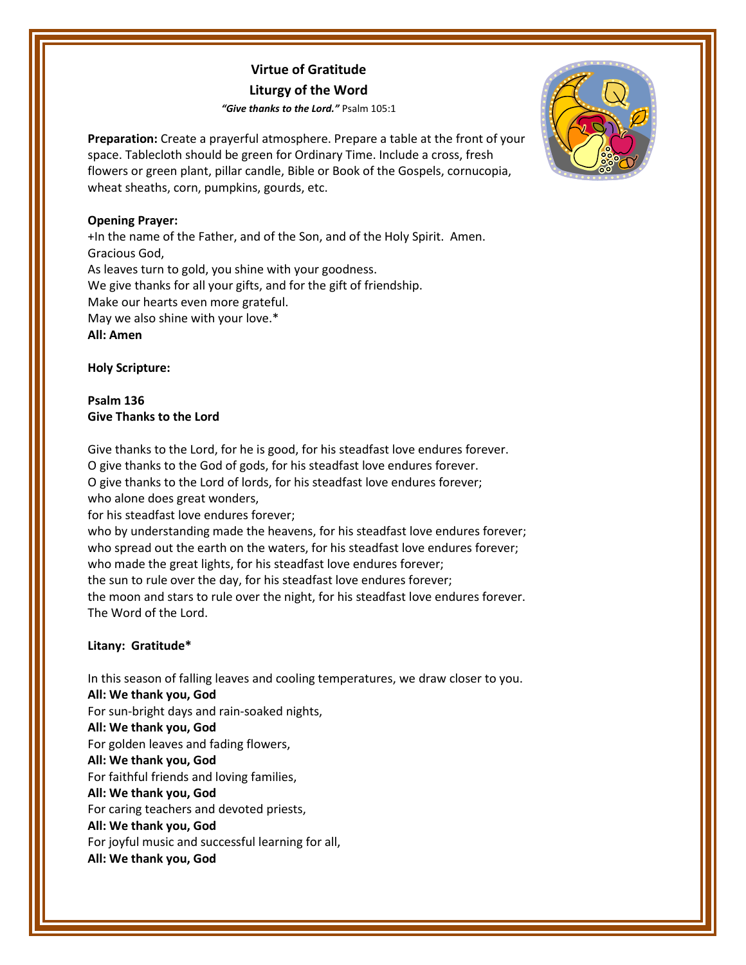# **Virtue of Gratitude Liturgy of the Word**

*"Give thanks to the Lord."* Psalm 105:1

**Preparation:** Create a prayerful atmosphere. Prepare a table at the front of your space. Tablecloth should be green for Ordinary Time. Include a cross, fresh flowers or green plant, pillar candle, Bible or Book of the Gospels, cornucopia, wheat sheaths, corn, pumpkins, gourds, etc.

## **Opening Prayer:**

+In the name of the Father, and of the Son, and of the Holy Spirit. Amen. Gracious God, As leaves turn to gold, you shine with your goodness. We give thanks for all your gifts, and for the gift of friendship. Make our hearts even more grateful. May we also shine with your love.\* **All: Amen**

**Holy Scripture:**

**Psalm 136 Give Thanks to the Lord**

Give thanks to the Lord, for he is good, for his steadfast love endures forever. O give thanks to the God of gods, for his steadfast love endures forever. O give thanks to the Lord of lords, for his steadfast love endures forever; who alone does great wonders, for his steadfast love endures forever;

who by understanding made the heavens, for his steadfast love endures forever; who spread out the earth on the waters, for his steadfast love endures forever; who made the great lights, for his steadfast love endures forever; the sun to rule over the day, for his steadfast love endures forever; the moon and stars to rule over the night, for his steadfast love endures forever. The Word of the Lord.

## **Litany: Gratitude\***

In this season of falling leaves and cooling temperatures, we draw closer to you. **All: We thank you, God** For sun-bright days and rain-soaked nights, **All: We thank you, God** For golden leaves and fading flowers, **All: We thank you, God** For faithful friends and loving families, **All: We thank you, God** For caring teachers and devoted priests, **All: We thank you, God** For joyful music and successful learning for all, **All: We thank you, God**